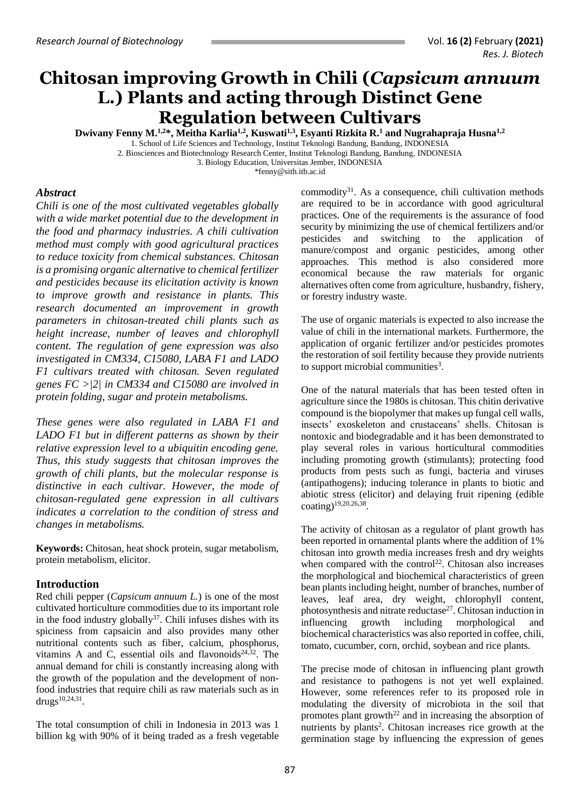# **Chitosan improving Growth in Chili (***Capsicum annuum* **L.) Plants and acting through Distinct Gene Regulation between Cultivars**

**Dwivany Fenny M.1,2\*, Meitha Karlia1,2, Kuswati1,3, Esyanti Rizkita R.<sup>1</sup> and Nugrahapraja Husna1,2** 1. School of Life Sciences and Technology, Institut Teknologi Bandung, Bandung, INDONESIA

2. Biosciences and Biotechnology Research Center, Institut Teknologi Bandung, Bandung, INDONESIA

3. Biology Education, Universitas Jember, INDONESIA

\*fenny@sith.itb.ac.id

## *Abstract*

*Chili is one of the most cultivated vegetables globally with a wide market potential due to the development in the food and pharmacy industries. A chili cultivation method must comply with good agricultural practices to reduce toxicity from chemical substances. Chitosan is a promising organic alternative to chemical fertilizer and pesticides because its elicitation activity is known to improve growth and resistance in plants. This research documented an improvement in growth parameters in chitosan-treated chili plants such as height increase, number of leaves and chlorophyll content. The regulation of gene expression was also investigated in CM334, C15080, LABA F1 and LADO F1 cultivars treated with chitosan. Seven regulated genes FC >|2| in CM334 and C15080 are involved in protein folding, sugar and protein metabolisms.* 

*These genes were also regulated in LABA F1 and LADO F1 but in different patterns as shown by their relative expression level to a ubiquitin encoding gene. Thus, this study suggests that chitosan improves the growth of chili plants, but the molecular response is distinctive in each cultivar. However, the mode of chitosan-regulated gene expression in all cultivars indicates a correlation to the condition of stress and changes in metabolisms.*

**Keywords:** Chitosan, heat shock protein, sugar metabolism, protein metabolism, elicitor.

## **Introduction**

Red chili pepper (*Capsicum annuum L.*) is one of the most cultivated horticulture commodities due to its important role in the food industry globally $37$ . Chili infuses dishes with its spiciness from capsaicin and also provides many other nutritional contents such as fiber, calcium, phosphorus, vitamins A and C, essential oils and flavonoids $24,32$ . The annual demand for chili is constantly increasing along with the growth of the population and the development of nonfood industries that require chili as raw materials such as in  $drugs^{10,24,31}.$ 

The total consumption of chili in Indonesia in 2013 was 1 billion kg with 90% of it being traded as a fresh vegetable

commodity $3^1$ . As a consequence, chili cultivation methods are required to be in accordance with good agricultural practices. One of the requirements is the assurance of food security by minimizing the use of chemical fertilizers and/or pesticides and switching to the application of manure/compost and organic pesticides, among other approaches. This method is also considered more economical because the raw materials for organic alternatives often come from agriculture, husbandry, fishery, or forestry industry waste.

The use of organic materials is expected to also increase the value of chili in the international markets. Furthermore, the application of organic fertilizer and/or pesticides promotes the restoration of soil fertility because they provide nutrients to support microbial communities $3$ .

One of the natural materials that has been tested often in agriculture since the 1980s is chitosan. This chitin derivative compound is the biopolymer that makes up fungal cell walls, insects' exoskeleton and crustaceans' shells. Chitosan is nontoxic and biodegradable and it has been demonstrated to play several roles in various horticultural commodities including promoting growth (stimulants); protecting food products from pests such as fungi, bacteria and viruses (antipathogens); inducing tolerance in plants to biotic and abiotic stress (elicitor) and delaying fruit ripening (edible coating)<sup>19,20,26,38</sup>.

The activity of chitosan as a regulator of plant growth has been reported in ornamental plants where the addition of 1% chitosan into growth media increases fresh and dry weights when compared with the control<sup>22</sup>. Chitosan also increases the morphological and biochemical characteristics of green bean plants including height, number of branches, number of leaves, leaf area, dry weight, chlorophyll content, photosynthesis and nitrate reductase<sup>27</sup>. Chitosan induction in influencing growth including morphological and biochemical characteristics was also reported in coffee, chili, tomato, cucumber, corn, orchid, soybean and rice plants.

The precise mode of chitosan in influencing plant growth and resistance to pathogens is not yet well explained. However, some references refer to its proposed role in modulating the diversity of microbiota in the soil that promotes plant growth<sup>22</sup> and in increasing the absorption of nutrients by plants<sup>2</sup>. Chitosan increases rice growth at the germination stage by influencing the expression of genes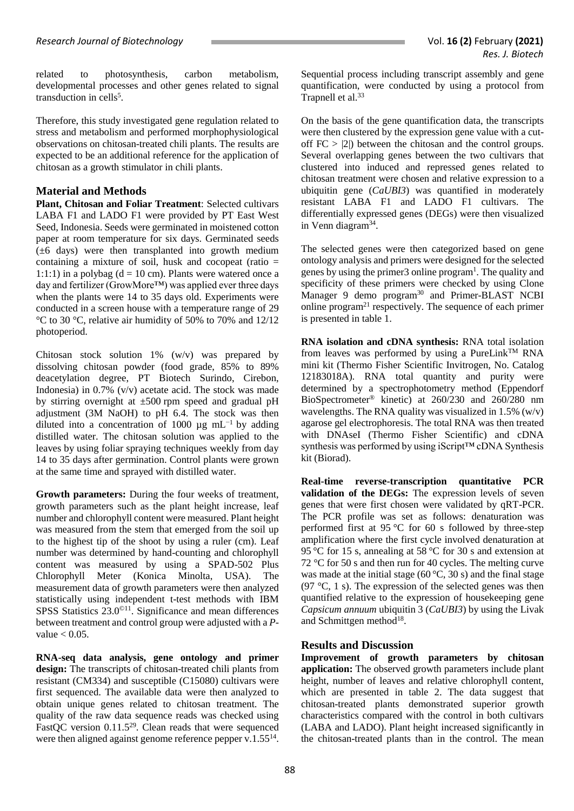related to photosynthesis, carbon metabolism, developmental processes and other genes related to signal transduction in cells<sup>5</sup>.

Therefore, this study investigated gene regulation related to stress and metabolism and performed morphophysiological observations on chitosan-treated chili plants. The results are expected to be an additional reference for the application of chitosan as a growth stimulator in chili plants.

## **Material and Methods**

**Plant, Chitosan and Foliar Treatment**: Selected cultivars LABA F1 and LADO F1 were provided by PT East West Seed, Indonesia. Seeds were germinated in moistened cotton paper at room temperature for six days. Germinated seeds  $(\pm 6$  days) were then transplanted into growth medium containing a mixture of soil, husk and cocopeat (ratio = 1:1:1) in a polybag  $(d = 10 \text{ cm})$ . Plants were watered once a day and fertilizer (GrowMore™) was applied ever three days when the plants were 14 to 35 days old. Experiments were conducted in a screen house with a temperature range of 29 °C to 30 °C, relative air humidity of 50% to 70% and 12/12 photoperiod.

Chitosan stock solution 1% (w/v) was prepared by dissolving chitosan powder (food grade, 85% to 89% deacetylation degree, PT Biotech Surindo, Cirebon, Indonesia) in 0.7% (v/v) acetate acid. The stock was made by stirring overnight at  $\pm 500$  rpm speed and gradual pH adjustment (3M NaOH) to pH 6.4. The stock was then diluted into a concentration of 1000 µg mL<sup>-1</sup> by adding distilled water. The chitosan solution was applied to the leaves by using foliar spraying techniques weekly from day 14 to 35 days after germination. Control plants were grown at the same time and sprayed with distilled water.

**Growth parameters:** During the four weeks of treatment, growth parameters such as the plant height increase, leaf number and chlorophyll content were measured. Plant height was measured from the stem that emerged from the soil up to the highest tip of the shoot by using a ruler (cm). Leaf number was determined by hand-counting and chlorophyll content was measured by using a SPAD-502 Plus Chlorophyll Meter (Konica Minolta, USA). The measurement data of growth parameters were then analyzed statistically using independent t-test methods with IBM SPSS Statistics 23.0<sup>©11</sup>. Significance and mean differences between treatment and control group were adjusted with a *P*value  $< 0.05$ .

**RNA-seq data analysis, gene ontology and primer design:** The transcripts of chitosan-treated chili plants from resistant (CM334) and susceptible (C15080) cultivars were first sequenced. The available data were then analyzed to obtain unique genes related to chitosan treatment. The quality of the raw data sequence reads was checked using FastQC version 0.11.5<sup>29</sup>. Clean reads that were sequenced were then aligned against genome reference pepper v.1.55<sup>14</sup>.

Sequential process including transcript assembly and gene quantification, were conducted by using a protocol from Trapnell et al.<sup>33</sup>

On the basis of the gene quantification data, the transcripts were then clustered by the expression gene value with a cutoff  $FC > |2|$ ) between the chitosan and the control groups. Several overlapping genes between the two cultivars that clustered into induced and repressed genes related to chitosan treatment were chosen and relative expression to a ubiquitin gene (*CaUBI3*) was quantified in moderately resistant LABA F1 and LADO F1 cultivars. The differentially expressed genes (DEGs) were then visualized in Venn diagram<sup>34</sup>.

The selected genes were then categorized based on gene ontology analysis and primers were designed for the selected genes by using the primer3 online program<sup>1</sup>. The quality and specificity of these primers were checked by using Clone Manager 9 demo program<sup>30</sup> and Primer-BLAST NCBI online program<sup>21</sup> respectively. The sequence of each primer is presented in table 1.

**RNA isolation and cDNA synthesis:** RNA total isolation from leaves was performed by using a PureLink<sup>TM</sup> RNA mini kit (Thermo Fisher Scientific Invitrogen, No. Catalog 12183018A). RNA total quantity and purity were determined by a spectrophotometry method (Eppendorf BioSpectrometer® kinetic) at 260/230 and 260/280 nm wavelengths. The RNA quality was visualized in 1.5% (w/v) agarose gel electrophoresis. The total RNA was then treated with DNAseI (Thermo Fisher Scientific) and cDNA synthesis was performed by using iScript™ cDNA Synthesis kit (Biorad).

**Real-time reverse-transcription quantitative PCR**  validation of the DEGs: The expression levels of seven genes that were first chosen were validated by qRT-PCR. The PCR profile was set as follows: denaturation was performed first at 95 °C for 60 s followed by three-step amplification where the first cycle involved denaturation at 95 °C for 15 s, annealing at 58 °C for 30 s and extension at 72 °C for 50 s and then run for 40 cycles. The melting curve was made at the initial stage (60 $\degree$ C, 30 s) and the final stage (97 °C, 1 s). The expression of the selected genes was then quantified relative to the expression of housekeeping gene *Capsicum annuum* ubiquitin 3 (*CaUBI3*) by using the Livak and Schmittgen method<sup>18</sup>.

## **Results and Discussion**

**Improvement of growth parameters by chitosan application:** The observed growth parameters include plant height, number of leaves and relative chlorophyll content, which are presented in table 2. The data suggest that chitosan-treated plants demonstrated superior growth characteristics compared with the control in both cultivars (LABA and LADO). Plant height increased significantly in the chitosan-treated plants than in the control. The mean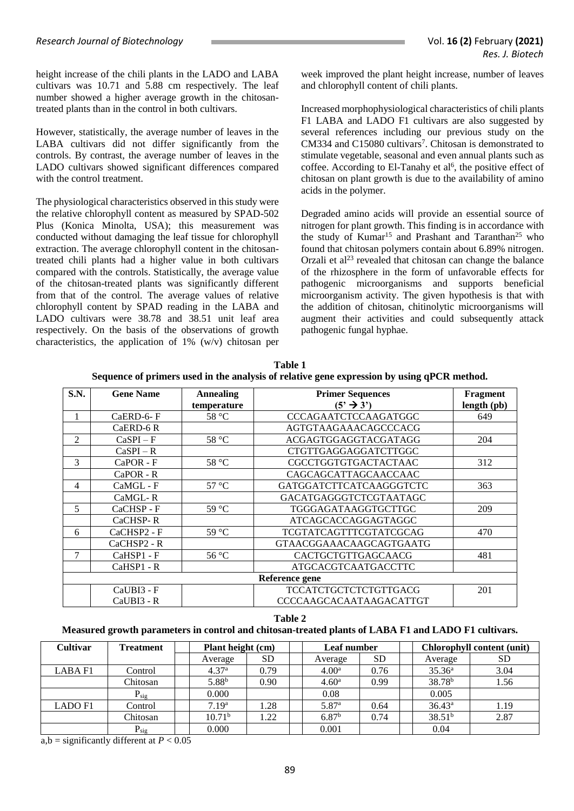height increase of the chili plants in the LADO and LABA cultivars was 10.71 and 5.88 cm respectively. The leaf number showed a higher average growth in the chitosantreated plants than in the control in both cultivars.

However, statistically, the average number of leaves in the LABA cultivars did not differ significantly from the controls. By contrast, the average number of leaves in the LADO cultivars showed significant differences compared with the control treatment.

The physiological characteristics observed in this study were the relative chlorophyll content as measured by SPAD-502 Plus (Konica Minolta, USA); this measurement was conducted without damaging the leaf tissue for chlorophyll extraction. The average chlorophyll content in the chitosantreated chili plants had a higher value in both cultivars compared with the controls. Statistically, the average value of the chitosan-treated plants was significantly different from that of the control. The average values of relative chlorophyll content by SPAD reading in the LABA and LADO cultivars were 38.78 and 38.51 unit leaf area respectively. On the basis of the observations of growth characteristics, the application of 1% (w/v) chitosan per

week improved the plant height increase, number of leaves and chlorophyll content of chili plants.

Increased morphophysiological characteristics of chili plants F1 LABA and LADO F1 cultivars are also suggested by several references including our previous study on the CM334 and C15080 cultivars<sup>7</sup>. Chitosan is demonstrated to stimulate vegetable, seasonal and even annual plants such as coffee. According to El-Tanahy et al<sup>6</sup>, the positive effect of chitosan on plant growth is due to the availability of amino acids in the polymer.

Degraded amino acids will provide an essential source of nitrogen for plant growth. This finding is in accordance with the study of Kumar<sup>15</sup> and Prashant and Taranthan<sup>25</sup> who found that chitosan polymers contain about 6.89% nitrogen. Orzali et  $al<sup>23</sup>$  revealed that chitosan can change the balance of the rhizosphere in the form of unfavorable effects for pathogenic microorganisms and supports beneficial microorganism activity. The given hypothesis is that with the addition of chitosan, chitinolytic microorganisms will augment their activities and could subsequently attack pathogenic fungal hyphae.

| Table 1                                                                                    |
|--------------------------------------------------------------------------------------------|
| Sequence of primers used in the analysis of relative gene expression by using qPCR method. |

| <b>S.N.</b>    | <b>Gene Name</b> | <b>Annealing</b> | <b>Primer Sequences</b>        | Fragment    |  |  |  |  |
|----------------|------------------|------------------|--------------------------------|-------------|--|--|--|--|
|                |                  | temperature      | $(5' \rightarrow 3')$          | length (pb) |  |  |  |  |
|                | CaERD-6-F        | 58 °C            | <b>CCCAGAATCTCCAAGATGGC</b>    | 649         |  |  |  |  |
|                | CaERD-6R         |                  | AGTGTAAGAAACAGCCCACG           |             |  |  |  |  |
| $\mathfrak{D}$ | $CaSPI - F$      | 58 °C            | ACGAGTGGAGGTACGATAGG           | 204         |  |  |  |  |
|                | $CaSPI - R$      |                  | CTGTTGAGGAGGATCTTGGC           |             |  |  |  |  |
| 3              | CaPOR - F        | 58 °C            | CGCCTGGTGTGACTACTAAC           | 312         |  |  |  |  |
|                | $CaPOR - R$      |                  | CAGCAGCATTAGCAACCAAC           |             |  |  |  |  |
| 4              | CaMGL - F        | $57^{\circ}$ C   | GATGGATCTTCATCAAGGGTCTC        | 363         |  |  |  |  |
|                | CaMGL-R          |                  | GACATGAGGGTCTCGTAATAGC         |             |  |  |  |  |
| 5              | CaCHSP - F       | 59 °C            | TGGGAGATAAGGTGCTTGC            | 209         |  |  |  |  |
|                | CaCHSP-R         |                  | ATCAGCACCAGGAGTAGGC            |             |  |  |  |  |
| 6              | CaCHSP2 - F      | 59 °C            | <b>TCGTATCAGTTTCGTATCGCAG</b>  | 470         |  |  |  |  |
|                | CaCHSP2 - R      |                  | GTAACGGAAACAAGCAGTGAATG        |             |  |  |  |  |
| 7              | CaHSP1 - F       | 56 °C            | CACTGCTGTTGAGCAACG             | 481         |  |  |  |  |
|                | CaHSP1 - R       |                  | ATGCACGTCAATGACCTTC            |             |  |  |  |  |
| Reference gene |                  |                  |                                |             |  |  |  |  |
|                | CaUBI3 - F       |                  | <b>TCCATCTGCTCTCTGTTGACG</b>   | 201         |  |  |  |  |
|                | CaUBI3 - R       |                  | <b>CCCCAAGCACAATAAGACATTGT</b> |             |  |  |  |  |

**Table 2**

#### **Measured growth parameters in control and chitosan-treated plants of LABA F1 and LADO F1 cultivars.**

| Cultivar | <b>Treatment</b> | Plant height (cm)  |      | Leaf number       |           |  | Chlorophyll content (unit) |           |  |
|----------|------------------|--------------------|------|-------------------|-----------|--|----------------------------|-----------|--|
|          |                  | Average            | SD   | Average           | <b>SD</b> |  | Average                    | <b>SD</b> |  |
| LABA F1  | Control          | 4.37 <sup>a</sup>  | 0.79 | 4.00 <sup>a</sup> | 0.76      |  | 35.36 <sup>a</sup>         | 3.04      |  |
|          | Chitosan         | 5.88 <sup>b</sup>  | 0.90 | 4.60 <sup>a</sup> | 0.99      |  | 38.78 <sup>b</sup>         | 1.56      |  |
|          | $P_{sig}$        | 0.000              |      | 0.08              |           |  | 0.005                      |           |  |
| LADO F1  | Control          | 7.19 <sup>a</sup>  | l.28 | 5.87 <sup>a</sup> | 0.64      |  | $36.43^a$                  | 1.19      |  |
|          | Chitosan         | 10.71 <sup>b</sup> | 1.22 | 6.87 <sup>b</sup> | 0.74      |  | 38.51 <sup>b</sup>         | 2.87      |  |
|          | $P_{sig}$        | 0.000              |      | 0.001             |           |  | 0.04                       |           |  |

a,b = significantly different at  $P < 0.05$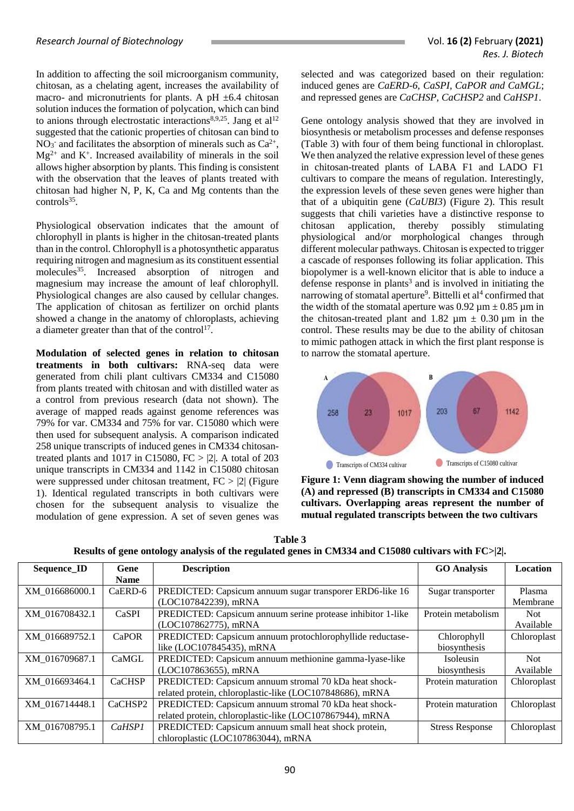In addition to affecting the soil microorganism community, chitosan, as a chelating agent, increases the availability of macro- and micronutrients for plants. A pH  $\pm$ 6.4 chitosan solution induces the formation of polycation, which can bind to anions through electrostatic interactions<sup>8,9,25</sup>. Jang et al<sup>12</sup> suggested that the cationic properties of chitosan can bind to NO<sub>3</sub><sup>-</sup> and facilitates the absorption of minerals such as  $Ca^{2+}$ ,  $Mg^{2+}$  and K<sup>+</sup>. Increased availability of minerals in the soil allows higher absorption by plants. This finding is consistent with the observation that the leaves of plants treated with chitosan had higher N, P, K, Ca and Mg contents than the  $controls^{35}$ .

Physiological observation indicates that the amount of chlorophyll in plants is higher in the chitosan-treated plants than in the control. Chlorophyll is a photosynthetic apparatus requiring nitrogen and magnesium as its constituent essential molecules<sup>35</sup>. Increased absorption of nitrogen and magnesium may increase the amount of leaf chlorophyll. Physiological changes are also caused by cellular changes. The application of chitosan as fertilizer on orchid plants showed a change in the anatomy of chloroplasts, achieving a diameter greater than that of the control<sup>17</sup>.

**Modulation of selected genes in relation to chitosan treatments in both cultivars:** RNA-seq data were generated from chili plant cultivars CM334 and C15080 from plants treated with chitosan and with distilled water as a control from previous research (data not shown). The average of mapped reads against genome references was 79% for var. CM334 and 75% for var. C15080 which were then used for subsequent analysis. A comparison indicated 258 unique transcripts of induced genes in CM334 chitosantreated plants and 1017 in C15080,  $FC > 2$ . A total of 203 unique transcripts in CM334 and 1142 in C15080 chitosan were suppressed under chitosan treatment,  $FC > 2$  (Figure 1). Identical regulated transcripts in both cultivars were chosen for the subsequent analysis to visualize the modulation of gene expression. A set of seven genes was

selected and was categorized based on their regulation: induced genes are *CaERD-6, CaSPI, CaPOR and CaMGL*; and repressed genes are *CaCHSP, CaCHSP2* and *CaHSP1*.

Gene ontology analysis showed that they are involved in biosynthesis or metabolism processes and defense responses (Table 3) with four of them being functional in chloroplast. We then analyzed the relative expression level of these genes in chitosan-treated plants of LABA F1 and LADO F1 cultivars to compare the means of regulation. Interestingly, the expression levels of these seven genes were higher than that of a ubiquitin gene (*CaUBI3*) (Figure 2). This result suggests that chili varieties have a distinctive response to chitosan application, thereby possibly stimulating physiological and/or morphological changes through different molecular pathways. Chitosan is expected to trigger a cascade of responses following its foliar application. This biopolymer is a well-known elicitor that is able to induce a defense response in plants<sup>3</sup> and is involved in initiating the narrowing of stomatal aperture<sup>9</sup>. Bittelli et al<sup>4</sup> confirmed that the width of the stomatal aperture was  $0.92 \mu m \pm 0.85 \mu m$  in the chitosan-treated plant and 1.82  $\mu$ m  $\pm$  0.30  $\mu$ m in the control. These results may be due to the ability of chitosan to mimic pathogen attack in which the first plant response is to narrow the stomatal aperture.



**Figure 1: Venn diagram showing the number of induced (A) and repressed (B) transcripts in CM334 and C15080 cultivars. Overlapping areas represent the number of mutual regulated transcripts between the two cultivars**

| Table 3                                                                                             |
|-----------------------------------------------------------------------------------------------------|
| Results of gene ontology analysis of the regulated genes in CM334 and C15080 cultivars with FC>[2]. |

| Sequence_ID    | Gene          | <b>Description</b>                                          | <b>GO</b> Analysis     | Location    |
|----------------|---------------|-------------------------------------------------------------|------------------------|-------------|
|                | <b>Name</b>   |                                                             |                        |             |
| XM 016686000.1 | CaERD-6       | PREDICTED: Capsicum annuum sugar transporer ERD6-like 16    | Sugar transporter      | Plasma      |
|                |               | (LOC107842239), mRNA                                        |                        | Membrane    |
| XM 016708432.1 | CaSPI         | PREDICTED: Capsicum annuum serine protease inhibitor 1-like | Protein metabolism     | Not.        |
|                |               | (LOC107862775), mRNA                                        |                        | Available   |
| XM 016689752.1 | CaPOR         | PREDICTED: Capsicum annuum protochlorophyllide reductase-   | Chlorophyll            | Chloroplast |
|                |               | like (LOC107845435), mRNA                                   | biosynthesis           |             |
| XM 016709687.1 | CaMGL         | PREDICTED: Capsicum annuum methionine gamma-lyase-like      | <b>Isoleusin</b>       | <b>Not</b>  |
|                |               | (LOC107863655), mRNA                                        | biosynthesis           | Available   |
| XM 016693464.1 | <b>CaCHSP</b> | PREDICTED: Capsicum annuum stromal 70 kDa heat shock-       | Protein maturation     | Chloroplast |
|                |               | related protein, chloroplastic-like (LOC107848686), mRNA    |                        |             |
| XM 016714448.1 | CaCHSP2       | PREDICTED: Capsicum annuum stromal 70 kDa heat shock-       | Protein maturation     | Chloroplast |
|                |               | related protein, chloroplastic-like (LOC107867944), mRNA    |                        |             |
| XM 016708795.1 | CaHSP1        | PREDICTED: Capsicum annuum small heat shock protein,        | <b>Stress Response</b> | Chloroplast |
|                |               | chloroplastic (LOC107863044), mRNA                          |                        |             |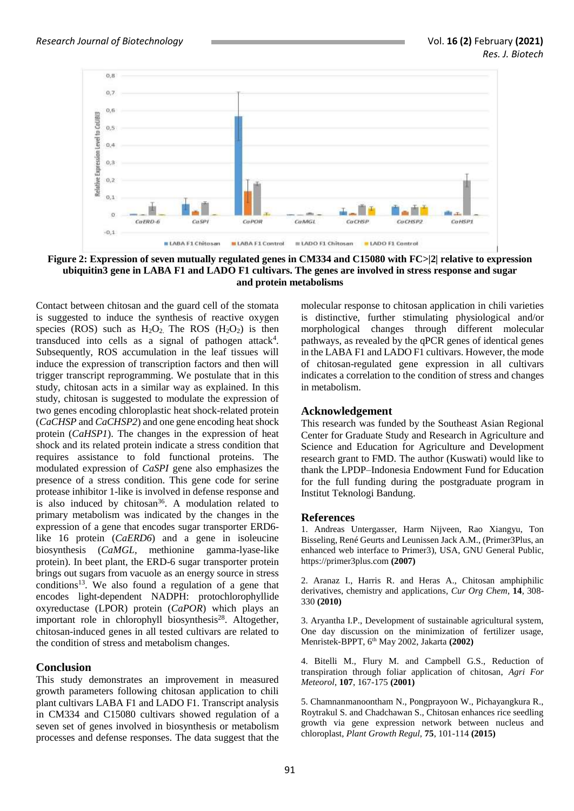

**Figure 2: Expression of seven mutually regulated genes in CM334 and C15080 with FC>|2| relative to expression ubiquitin3 gene in LABA F1 and LADO F1 cultivars. The genes are involved in stress response and sugar and protein metabolisms**

Contact between chitosan and the guard cell of the stomata is suggested to induce the synthesis of reactive oxygen species (ROS) such as  $H_2O_2$ . The ROS ( $H_2O_2$ ) is then transduced into cells as a signal of pathogen attack<sup>4</sup>. Subsequently, ROS accumulation in the leaf tissues will induce the expression of transcription factors and then will trigger transcript reprogramming. We postulate that in this study, chitosan acts in a similar way as explained. In this study, chitosan is suggested to modulate the expression of two genes encoding chloroplastic heat shock-related protein (*CaCHSP* and *CaCHSP2*) and one gene encoding heat shock protein (*CaHSP1*). The changes in the expression of heat shock and its related protein indicate a stress condition that requires assistance to fold functional proteins. The modulated expression of *CaSPI* gene also emphasizes the presence of a stress condition. This gene code for serine protease inhibitor 1-like is involved in defense response and is also induced by chitosan $36$ . A modulation related to primary metabolism was indicated by the changes in the expression of a gene that encodes sugar transporter ERD6 like 16 protein (*CaERD6*) and a gene in isoleucine biosynthesis (*CaMGL,* methionine gamma-lyase-like protein). In beet plant, the ERD-6 sugar transporter protein brings out sugars from vacuole as an energy source in stress conditions<sup>13</sup>. We also found a regulation of a gene that encodes light-dependent NADPH: protochlorophyllide oxyreductase (LPOR) protein (*CaPOR*) which plays an important role in chlorophyll biosynthesis<sup>28</sup>. Altogether, chitosan-induced genes in all tested cultivars are related to the condition of stress and metabolism changes.

## **Conclusion**

This study demonstrates an improvement in measured growth parameters following chitosan application to chili plant cultivars LABA F1 and LADO F1. Transcript analysis in CM334 and C15080 cultivars showed regulation of a seven set of genes involved in biosynthesis or metabolism processes and defense responses. The data suggest that the

molecular response to chitosan application in chili varieties is distinctive, further stimulating physiological and/or morphological changes through different molecular pathways, as revealed by the qPCR genes of identical genes in the LABA F1 and LADO F1 cultivars. However, the mode of chitosan-regulated gene expression in all cultivars indicates a correlation to the condition of stress and changes in metabolism.

## **Acknowledgement**

This research was funded by the Southeast Asian Regional Center for Graduate Study and Research in Agriculture and Science and Education for Agriculture and Development research grant to FMD. The author (Kuswati) would like to thank the LPDP–Indonesia Endowment Fund for Education for the full funding during the postgraduate program in Institut Teknologi Bandung.

## **References**

1. Andreas Untergasser, Harm Nijveen, Rao Xiangyu, Ton Bisseling, René Geurts and Leunissen Jack A.M., (Primer3Plus, an enhanced web interface to Primer3), USA, GNU General Public, [https://primer3plus.com](https://primer3plus.com/) **(2007)**

2. Aranaz I., Harris R. and Heras A., Chitosan amphiphilic derivatives, chemistry and applications*, Cur Org Chem*, **14**, 308- 330 **(2010)**

3. Aryantha I.P., Development of sustainable agricultural system, One day discussion on the minimization of fertilizer usage, Menristek-BPPT, 6th May 2002, Jakarta **(2002)**

4. Bitelli M., Flury M. and Campbell G.S., Reduction of transpiration through foliar application of chitosan, *Agri For Meteorol*, **107**, 167-175 **(2001)**

5. Chamnanmanoontham N., Pongprayoon W., Pichayangkura R., Roytrakul S. and Chadchawan S., Chitosan enhances rice seedling growth via gene expression network between nucleus and chloroplast, *Plant Growth Regul,* **75**, 101-114 **(2015)**